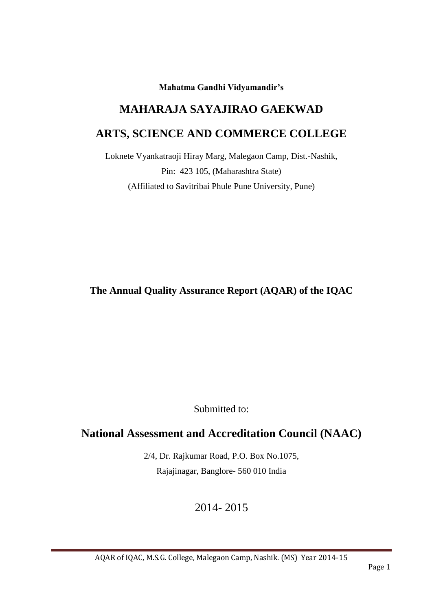**Mahatma Gandhi Vidyamandir's**

# **MAHARAJA SAYAJIRAO GAEKWAD**

# **ARTS, SCIENCE AND COMMERCE COLLEGE**

Loknete Vyankatraoji Hiray Marg, Malegaon Camp, Dist.-Nashik, Pin: 423 105, (Maharashtra State) (Affiliated to Savitribai Phule Pune University, Pune)

**The Annual Quality Assurance Report (AQAR) of the IQAC**

Submitted to:

# **National Assessment and Accreditation Council (NAAC)**

2/4, Dr. Rajkumar Road, P.O. Box No.1075, Rajajinagar, Banglore- 560 010 India

2014- 2015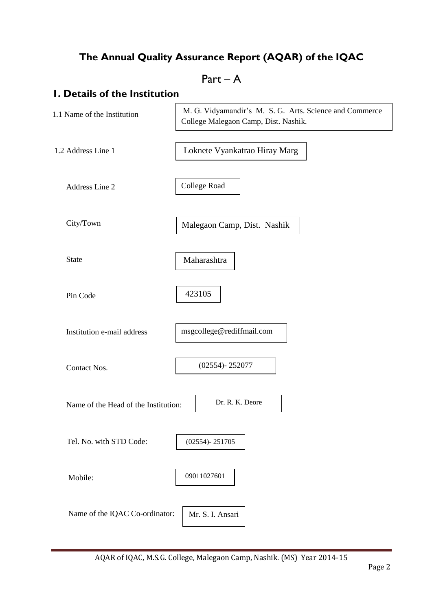# **The Annual Quality Assurance Report (AQAR) of the IQAC**

# Part – A

# **1. Details of the Institution**

| 1.1 Name of the Institution          | M. G. Vidyamandir's M. S. G. Arts. Science and Commerce<br>College Malegaon Camp, Dist. Nashik. |
|--------------------------------------|-------------------------------------------------------------------------------------------------|
| 1.2 Address Line 1                   | Loknete Vyankatrao Hiray Marg                                                                   |
| Address Line 2                       | College Road                                                                                    |
| City/Town                            | Malegaon Camp, Dist. Nashik                                                                     |
| <b>State</b>                         | Maharashtra                                                                                     |
| Pin Code                             | 423105                                                                                          |
| Institution e-mail address           | msgcollege@rediffmail.com                                                                       |
| Contact Nos.                         | $(02554) - 252077$                                                                              |
| Name of the Head of the Institution: | Dr. R. K. Deore                                                                                 |
| Tel. No. with STD Code:              | $(02554) - 251705$                                                                              |
| Mobile:                              | 09011027601                                                                                     |
| Name of the IQAC Co-ordinator:       | Mr. S. I. Ansari                                                                                |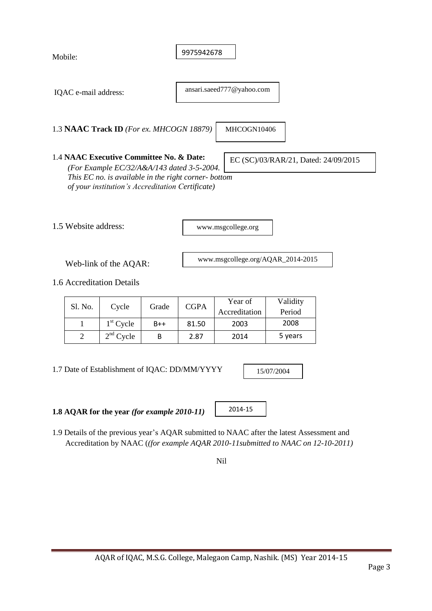| Mobile: |                      |                                                                                                                                                                                                    |       | 9975942678  |                                   |                                      |  |
|---------|----------------------|----------------------------------------------------------------------------------------------------------------------------------------------------------------------------------------------------|-------|-------------|-----------------------------------|--------------------------------------|--|
|         | IQAC e-mail address: |                                                                                                                                                                                                    |       |             | ansari.saeed777@yahoo.com         |                                      |  |
|         |                      | 1.3 NAAC Track ID (For ex. MHCOGN 18879)                                                                                                                                                           |       |             | MHCOGN10406                       |                                      |  |
|         |                      | 1.4 NAAC Executive Committee No. & Date:<br>(For Example EC/32/A&A/143 dated 3-5-2004.<br>This EC no. is available in the right corner- bottom<br>of your institution's Accreditation Certificate) |       |             |                                   | EC (SC)/03/RAR/21, Dated: 24/09/2015 |  |
|         | 1.5 Website address: |                                                                                                                                                                                                    |       |             | www.msgcollege.org                |                                      |  |
|         |                      | Web-link of the AQAR:                                                                                                                                                                              |       |             | www.msgcollege.org/AQAR_2014-2015 |                                      |  |
|         |                      | 1.6 Accreditation Details                                                                                                                                                                          |       |             |                                   |                                      |  |
|         | Sl. No.              | Cycle                                                                                                                                                                                              | Grade | <b>CGPA</b> | Year of<br>Accreditation          | Validity<br>Period                   |  |
|         | $\mathbf{1}$         | $1st$ Cycle                                                                                                                                                                                        | $B++$ | 81.50       | 2003                              | 2008                                 |  |
|         | $\overline{2}$       | $2nd$ Cycle                                                                                                                                                                                        | B     | 2.87        | 2014                              | 5 years                              |  |

1.7 Date of Establishment of IQAC: DD/MM/YYYY

15/07/2004

**1.8 AQAR for the year** *(for example 2010-11)*

2014-15

1.9 Details of the previous year"s AQAR submitted to NAAC after the latest Assessment and Accreditation by NAAC (*(for example AQAR 2010-11submitted to NAAC on 12-10-2011)*

Nil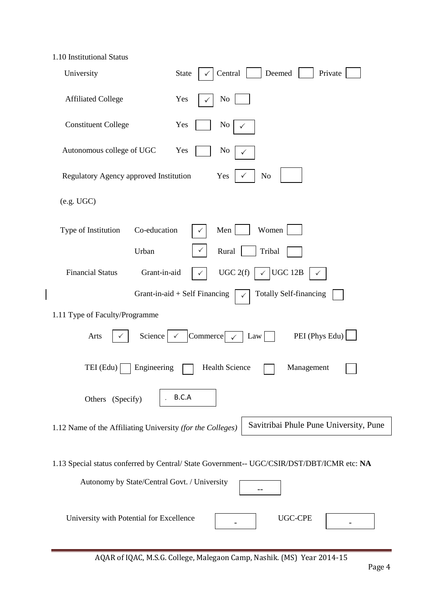| 1.10 Institutional Status |  |
|---------------------------|--|
|---------------------------|--|

| University                                                 | Central<br>Deemed<br>Private<br><b>State</b>                                               |
|------------------------------------------------------------|--------------------------------------------------------------------------------------------|
| <b>Affiliated College</b>                                  | Yes<br>No                                                                                  |
| <b>Constituent College</b>                                 | Yes<br>No<br>✓                                                                             |
| Autonomous college of UGC                                  | Yes<br>No<br>✓                                                                             |
| Regulatory Agency approved Institution                     | Yes<br>N <sub>o</sub>                                                                      |
| (e.g. UGC)                                                 |                                                                                            |
| Co-education<br>Type of Institution                        | Women<br>Men                                                                               |
| Urban                                                      | Rural<br>Tribal                                                                            |
| <b>Financial Status</b><br>Grant-in-aid                    | UGC 2(f)<br><b>UGC 12B</b><br>$\checkmark$<br>✓                                            |
|                                                            | <b>Totally Self-financing</b><br>Grant-in-aid $+$ Self Financing                           |
| 1.11 Type of Faculty/Programme                             |                                                                                            |
| Arts<br>Science                                            | PEI (Phys Edu)<br>Commerce $\sim$<br>Law                                                   |
| TEI (Edu)<br>Engineering                                   | <b>Health Science</b><br>Management                                                        |
| Others (Specify)                                           | B.C.A                                                                                      |
| 1.12 Name of the Affiliating University (for the Colleges) | Savitribai Phule Pune University, Pune                                                     |
| Autonomy by State/Central Govt. / University               | 1.13 Special status conferred by Central/ State Government-- UGC/CSIR/DST/DBT/ICMR etc: NA |
| University with Potential for Excellence                   | <b>UGC-CPE</b>                                                                             |

AQAR of IQAC, M.S.G. College, Malegaon Camp, Nashik. (MS) Year 2014-15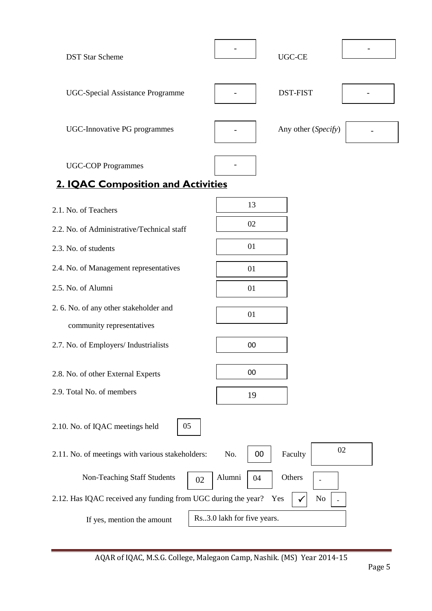| <b>DST Star Scheme</b>                                          | <b>UGC-CE</b>              |
|-----------------------------------------------------------------|----------------------------|
| <b>UGC-Special Assistance Programme</b>                         | <b>DST-FIST</b>            |
| UGC-Innovative PG programmes                                    | Any other (Specify)        |
| <b>UGC-COP Programmes</b><br>2. IQAC Composition and Activities |                            |
|                                                                 |                            |
| 2.1. No. of Teachers                                            | 13                         |
| 2.2. No. of Administrative/Technical staff                      | 02                         |
|                                                                 |                            |
| 2.3. No. of students                                            | 01                         |
| 2.4. No. of Management representatives                          | 01                         |
| 2.5. No. of Alumni                                              | 01                         |
| 2. 6. No. of any other stakeholder and                          | 01                         |
| community representatives                                       |                            |
| 2.7. No. of Employers/ Industrialists                           | 00                         |
| 2.8. No. of other External Experts                              | $00\,$                     |
|                                                                 |                            |
| 2.9. Total No. of members                                       | 19                         |
| 2.10. No. of IQAC meetings held<br>05                           |                            |
| 2.11. No. of meetings with various stakeholders:                | 02<br>Faculty<br>No.<br>00 |
| Non-Teaching Staff Students<br>02                               | Alumni<br>Others<br>04     |
| 2.12. Has IQAC received any funding from UGC during the year?   | No<br>Yes                  |
| If yes, mention the amount                                      | Rs3.0 lakh for five years. |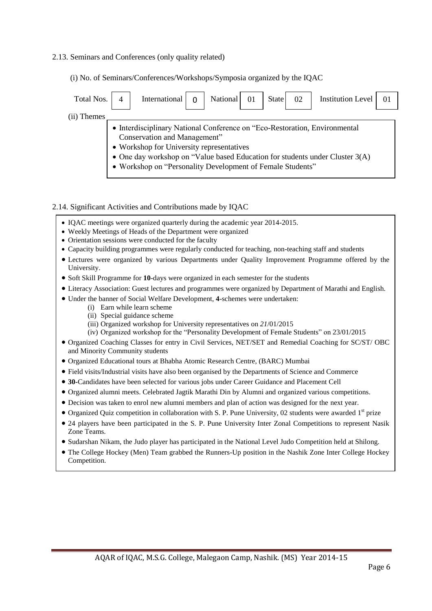#### 2.13. Seminars and Conferences (only quality related)

(i) No. of Seminars/Conferences/Workshops/Symposia organized by the IQAC

| Total Nos.                                                                                                                                                                                                                                                                                              |  | International |  | National | State | 02 | <b>Institution Level</b> |  |
|---------------------------------------------------------------------------------------------------------------------------------------------------------------------------------------------------------------------------------------------------------------------------------------------------------|--|---------------|--|----------|-------|----|--------------------------|--|
| (ii) Themes                                                                                                                                                                                                                                                                                             |  |               |  |          |       |    |                          |  |
| • Interdisciplinary National Conference on "Eco-Restoration, Environmental<br>Conservation and Management"<br>• Workshop for University representatives<br>• One day workshop on "Value based Education for students under Cluster $3(A)$<br>• Workshop on "Personality Development of Female Students" |  |               |  |          |       |    |                          |  |

#### 2.14. Significant Activities and Contributions made by IQAC

- IQAC meetings were organized quarterly during the academic year 2014-2015.
- Weekly Meetings of Heads of the Department were organized
- Orientation sessions were conducted for the faculty
- Capacity building programmes were regularly conducted for teaching, non-teaching staff and students
- Lectures were organized by various Departments under Quality Improvement Programme offered by the University.
- Soft Skill Programme for **10**-days were organized in each semester for the students
- Literacy Association: Guest lectures and programmes were organized by Department of Marathi and English.
- Under the banner of Social Welfare Development, **4**-schemes were undertaken:
	- (i) Earn while learn scheme
	- (ii) Special guidance scheme
	- (iii) Organized workshop for University representatives on *21*/01/2015
	- (iv) Organized workshop for the "Personality Development of Female Students" on 23/01/2015
- Organized Coaching Classes for entry in Civil Services, NET/SET and Remedial Coaching for SC/ST/ OBC and Minority Community students
- Organized Educational tours at Bhabha Atomic Research Centre, (BARC) Mumbai
- Field visits/Industrial visits have also been organised by the Departments of Science and Commerce
- **30-**Candidates have been selected for various jobs under Career Guidance and Placement Cell
- Organized alumni meets. Celebrated Jagtik Marathi Din by Alumni and organized various competitions.
- Decision was taken to enrol new alumni members and plan of action was designed for the next year.
- $\bullet$  Organized Quiz competition in collaboration with S. P. Pune University, 02 students were awarded 1<sup>st</sup> prize
- 24 players have been participated in the S. P. Pune University Inter Zonal Competitions to represent Nasik Zone Teams.
- Sudarshan Nikam, the Judo player has participated in the National Level Judo Competition held at Shilong.
- The College Hockey (Men) Team grabbed the Runners-Up position in the Nashik Zone Inter College Hockey Competition.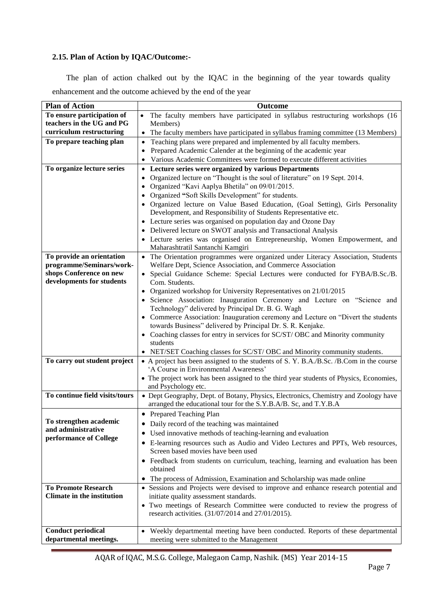#### **2.15. Plan of Action by IQAC/Outcome:-**

 The plan of action chalked out by the IQAC in the beginning of the year towards quality enhancement and the outcome achieved by the end of the year

| <b>Plan of Action</b>             | Outcome                                                                                                                         |
|-----------------------------------|---------------------------------------------------------------------------------------------------------------------------------|
| To ensure participation of        | The faculty members have participated in syllabus restructuring workshops (16<br>$\bullet$                                      |
| teachers in the UG and PG         | Members)                                                                                                                        |
| curriculum restructuring          | The faculty members have participated in syllabus framing committee (13 Members)<br>$\bullet$                                   |
| To prepare teaching plan          | Teaching plans were prepared and implemented by all faculty members.<br>$\bullet$                                               |
|                                   | Prepared Academic Calender at the beginning of the academic year                                                                |
|                                   | Various Academic Committees were formed to execute different activities                                                         |
| To organize lecture series        | • Lecture series were organized by various Departments                                                                          |
|                                   | Organized lecture on "Thought is the soul of literature" on 19 Sept. 2014.                                                      |
|                                   | • Organized "Kavi Aaplya Bhetila" on 09/01/2015.                                                                                |
|                                   | • Organized "Soft Skills Development" for students.                                                                             |
|                                   | • Organized lecture on Value Based Education, (Goal Setting), Girls Personality                                                 |
|                                   | Development, and Responsibility of Students Representative etc.                                                                 |
|                                   | • Lecture series was organised on population day and Ozone Day                                                                  |
|                                   | • Delivered lecture on SWOT analysis and Transactional Analysis                                                                 |
|                                   | • Lecture series was organised on Entrepreneurship, Women Empowerment, and                                                      |
|                                   | Maharashtratil Santanchi Kamgiri                                                                                                |
| To provide an orientation         | • The Orientation programmes were organized under Literacy Association, Students                                                |
| programme/Seminars/work-          | Welfare Dept, Science Association, and Commerce Association                                                                     |
| shops Conference on new           | • Special Guidance Scheme: Special Lectures were conducted for FYBA/B.Sc./B.                                                    |
| developments for students         | Com. Students.                                                                                                                  |
|                                   | • Organized workshop for University Representatives on 21/01/2015                                                               |
|                                   | • Science Association: Inauguration Ceremony and Lecture on "Science and                                                        |
|                                   | Technology" delivered by Principal Dr. B. G. Wagh                                                                               |
|                                   | • Commerce Association: Inauguration ceremony and Lecture on "Divert the students"                                              |
|                                   | towards Business" delivered by Principal Dr. S. R. Kenjake.                                                                     |
|                                   | • Coaching classes for entry in services for SC/ST/ OBC and Minority community                                                  |
|                                   | students                                                                                                                        |
|                                   | • NET/SET Coaching classes for SC/ST/ OBC and Minority community students.                                                      |
| To carry out student project      | • A project has been assigned to the students of S. Y. B.A./B.Sc. /B.Com in the course<br>'A Course in Environmental Awareness' |
|                                   | • The project work has been assigned to the third year students of Physics, Economies,                                          |
|                                   | and Psychology etc.                                                                                                             |
| To continue field visits/tours    | • Dept Geography, Dept. of Botany, Physics, Electronics, Chemistry and Zoology have                                             |
|                                   | arranged the educational tour for the S.Y.B.A/B. Sc, and T.Y.B.A                                                                |
|                                   | • Prepared Teaching Plan                                                                                                        |
| To strengthen academic            | • Daily record of the teaching was maintained                                                                                   |
| and administrative                |                                                                                                                                 |
| performance of College            | • Used innovative methods of teaching-learning and evaluation                                                                   |
|                                   | • E-learning resources such as Audio and Video Lectures and PPTs, Web resources,<br>Screen based movies have been used          |
|                                   | • Feedback from students on curriculum, teaching, learning and evaluation has been                                              |
|                                   | obtained                                                                                                                        |
|                                   | The process of Admission, Examination and Scholarship was made online<br>$\bullet$                                              |
| <b>To Promote Research</b>        | • Sessions and Projects were devised to improve and enhance research potential and                                              |
| <b>Climate in the institution</b> | initiate quality assessment standards.                                                                                          |
|                                   | • Two meetings of Research Committee were conducted to review the progress of                                                   |
|                                   | research activities. (31/07/2014 and 27/01/2015).                                                                               |
|                                   |                                                                                                                                 |
| <b>Conduct periodical</b>         | Weekly departmental meeting have been conducted. Reports of these departmental<br>$\bullet$                                     |
| departmental meetings.            | meeting were submitted to the Management                                                                                        |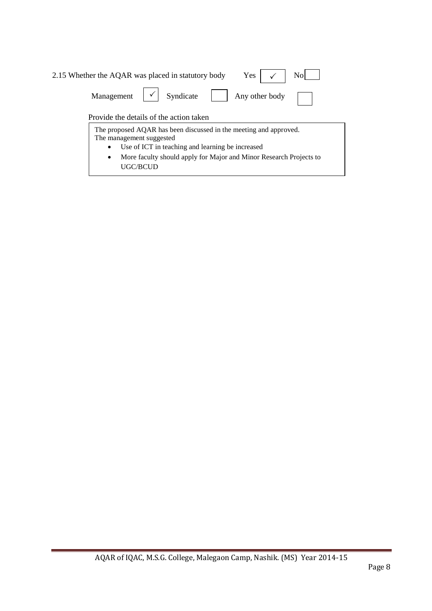| Yes<br>No<br>2.15 Whether the AQAR was placed in statutory body                                                                                                |  |
|----------------------------------------------------------------------------------------------------------------------------------------------------------------|--|
| Syndicate<br>Management<br>Any other body                                                                                                                      |  |
| Provide the details of the action taken                                                                                                                        |  |
| The proposed AQAR has been discussed in the meeting and approved.<br>The management suggested<br>Use of ICT in teaching and learning be increased<br>$\bullet$ |  |
| More faculty should apply for Major and Minor Research Projects to<br>$\bullet$<br><b>UGC/BCUD</b>                                                             |  |

Ξ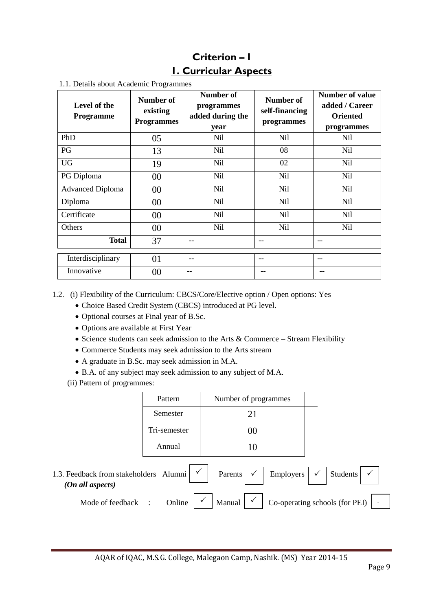# **Criterion – I 1. Curricular Aspects**

| 1.1. Details about Academic Programmes |
|----------------------------------------|
|----------------------------------------|

| Level of the<br><b>Programme</b> | Number of<br>existing<br><b>Programmes</b> | Number of<br>programmes<br>added during the<br>year | Number of<br>self-financing<br>programmes | <b>Number of value</b><br>added / Career<br><b>Oriented</b><br>programmes |
|----------------------------------|--------------------------------------------|-----------------------------------------------------|-------------------------------------------|---------------------------------------------------------------------------|
| PhD                              | 05                                         | Nil                                                 | Nil                                       | Nil                                                                       |
| PG                               | 13                                         | <b>Nil</b>                                          | 08                                        | Nil                                                                       |
| <b>UG</b>                        | 19                                         | Nil                                                 | 02                                        | Nil                                                                       |
| PG Diploma                       | $00\,$                                     | <b>Nil</b>                                          | Nil                                       | Nil                                                                       |
| <b>Advanced Diploma</b>          | $00\,$                                     | Nil                                                 | Nil                                       | Nil                                                                       |
| Diploma                          | $00\,$                                     | <b>Nil</b>                                          | Nil                                       | Nil                                                                       |
| Certificate                      | $00\,$                                     | Nil                                                 | Nil                                       | Nil                                                                       |
| Others                           | $00\,$                                     | <b>Nil</b>                                          | Nil                                       | <b>Nil</b>                                                                |
| <b>Total</b>                     | 37                                         |                                                     |                                           | --                                                                        |
| Interdisciplinary                | 01                                         |                                                     | --                                        | --                                                                        |
| Innovative                       | 00                                         | --                                                  |                                           |                                                                           |

- 1.2. (i) Flexibility of the Curriculum: CBCS/Core/Elective option / Open options: Yes
	- Choice Based Credit System (CBCS) introduced at PG level.
	- Optional courses at Final year of B.Sc.
	- Options are available at First Year
	- Science students can seek admission to the Arts  $&$  Commerce Stream Flexibility
	- Commerce Students may seek admission to the Arts stream
	- A graduate in B.Sc. may seek admission in M.A.
	- B.A. of any subject may seek admission to any subject of M.A.
	- (ii) Pattern of programmes:

|                                                            | Pattern                        | Number of programmes                   |                                                |
|------------------------------------------------------------|--------------------------------|----------------------------------------|------------------------------------------------|
|                                                            | Semester                       | 21                                     |                                                |
|                                                            | Tri-semester                   | 00                                     |                                                |
|                                                            | Annual                         | 10                                     |                                                |
| 1.3. Feedback from stakeholders Alumni<br>(On all aspects) |                                | $\checkmark$<br>Employers  <br>Parents | $\mathbb{F}_{q}$ .<br>$\checkmark$<br>Students |
| Mode of feedback                                           | Online<br>$\ddot{\phantom{a}}$ | Manual                                 | Co-operating schools (for PEI)                 |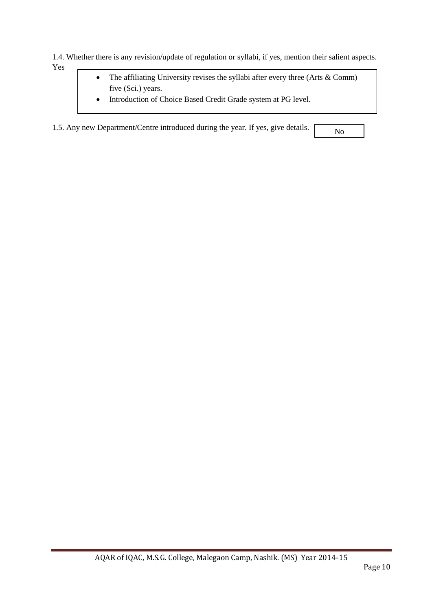1.4. Whether there is any revision/update of regulation or syllabi, if yes, mention their salient aspects. Yes

- The affiliating University revises the syllabi after every three (Arts & Comm) five (Sci.) years.
- Introduction of Choice Based Credit Grade system at PG level.

1.5. Any new Department/Centre introduced during the year. If yes, give details.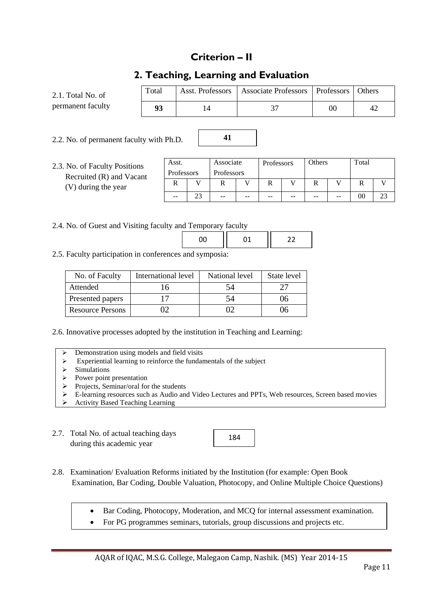### **Criterion – II**

### **2. Teaching, Learning and Evaluation**

**41**

| 2.1. Total No. of | Total | Asst. Professors | Associate Professors   Professors |        | <b>Others</b> |
|-------------------|-------|------------------|-----------------------------------|--------|---------------|
| permanent faculty | 93    |                  |                                   | $00\,$ | 42            |

2.2. No. of permanent faculty with Ph.D.

2.3. No. of Faculty Positions Recruited  $(R)$  and Va (V) during the year

| ons  | Asst.      |    | Associate  |    | Professors |    | Others |       | Total |  |
|------|------------|----|------------|----|------------|----|--------|-------|-------|--|
| cant | Professors |    | Professors |    |            |    |        |       |       |  |
|      |            |    |            |    |            |    |        |       |       |  |
|      | $- -$      | د، | $- -$      | -- | $- -$      | -- | --     | $- -$ | 00    |  |

2.4. No. of Guest and Visiting faculty and Temporary faculty

2.5. Faculty participation in conferences and symposia:

| No. of Faculty          | International level | National level | State level |
|-------------------------|---------------------|----------------|-------------|
| Attended                |                     | 54             |             |
| Presented papers        |                     | 24             | 06          |
| <b>Resource Persons</b> |                     |                | 06          |

2.6. Innovative processes adopted by the institution in Teaching and Learning:

- Demonstration using models and field visits
- $\triangleright$  Experiential learning to reinforce the fundamentals of the subject
- $\geq$  Simulations<br> $\geq$  Power point
- Power point presentation<br>
Projects. Seminar/oral form
- Projects, Seminar/oral for the students
- E-learning resources such as Audio and Video Lectures and PPTs, Web resources, Screen based movies
- Activity Based Teaching Learning
- 2.7. Total No. of actual teaching days during this academic year



- 2.8. Examination/ Evaluation Reforms initiated by the Institution (for example: Open Book Examination, Bar Coding, Double Valuation, Photocopy, and Online Multiple Choice Questions)
	- Bar Coding, Photocopy, Moderation, and MCQ for internal assessment examination.
	- For PG programmes seminars, tutorials, group discussions and projects etc.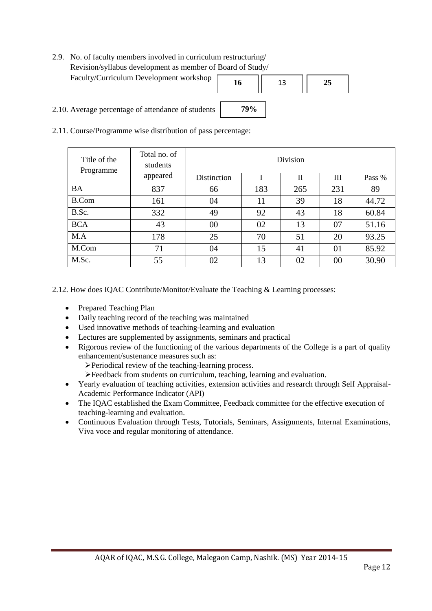2.9. No. of faculty members involved in curriculum restructuring/ Revision/syllabus development as member of Board of Study/ Faculty/Curriculum Development workshop



- 2.10. Average percentage of attendance of students
- 2.11. Course/Programme wise distribution of pass percentage:

| Title of the<br>Programme | Total no. of<br>students | Division    |     |     |     |        |  |
|---------------------------|--------------------------|-------------|-----|-----|-----|--------|--|
|                           | appeared                 | Distinction |     | П   | Ш   | Pass % |  |
| <b>BA</b>                 | 837                      | 66          | 183 | 265 | 231 | 89     |  |
| <b>B.Com</b>              | 161                      | 04          | 11  | 39  | 18  | 44.72  |  |
| B.Sc.                     | 332                      | 49          | 92  | 43  | 18  | 60.84  |  |
| <b>BCA</b>                | 43                       | $00\,$      | 02  | 13  | 07  | 51.16  |  |
| M.A                       | 178                      | 25          | 70  | 51  | 20  | 93.25  |  |
| M.Com                     | 71                       | 04          | 15  | 41  | 01  | 85.92  |  |
| M.Sc.                     | 55                       | 02          | 13  | 02  | 00  | 30.90  |  |

**79%**

2.12. How does IQAC Contribute/Monitor/Evaluate the Teaching & Learning processes:

- Prepared Teaching Plan
- Daily teaching record of the teaching was maintained
- Used innovative methods of teaching-learning and evaluation
- Lectures are supplemented by assignments, seminars and practical
- Rigorous review of the functioning of the various departments of the College is a part of quality enhancement/sustenance measures such as:
	- Periodical review of the teaching-learning process.

Feedback from students on curriculum, teaching, learning and evaluation.

- Yearly evaluation of teaching activities, extension activities and research through Self Appraisal-Academic Performance Indicator (API)
- The IQAC established the Exam Committee, Feedback committee for the effective execution of teaching-learning and evaluation.
- Continuous Evaluation through Tests, Tutorials, Seminars, Assignments, Internal Examinations, Viva voce and regular monitoring of attendance.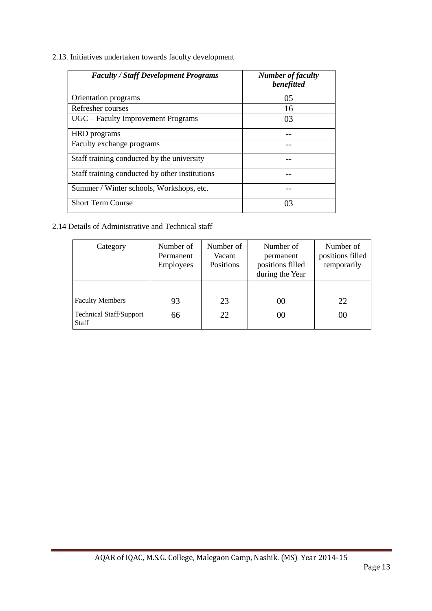2.13. Initiatives undertaken towards faculty development

| <b>Faculty / Staff Development Programs</b>    | <b>Number of faculty</b><br>benefitted |
|------------------------------------------------|----------------------------------------|
| Orientation programs                           | 05                                     |
| Refresher courses                              | 16                                     |
| UGC – Faculty Improvement Programs             | 03                                     |
| HRD programs                                   |                                        |
| Faculty exchange programs                      |                                        |
| Staff training conducted by the university     |                                        |
| Staff training conducted by other institutions |                                        |
| Summer / Winter schools, Workshops, etc.       |                                        |
| <b>Short Term Course</b>                       | 03                                     |

#### 2.14 Details of Administrative and Technical staff

| Category                                                                 | Number of<br>Permanent<br><b>Employees</b> | Number of<br>Vacant<br>Positions | Number of<br>permanent<br>positions filled<br>during the Year | Number of<br>positions filled<br>temporarily |
|--------------------------------------------------------------------------|--------------------------------------------|----------------------------------|---------------------------------------------------------------|----------------------------------------------|
| <b>Faculty Members</b><br><b>Technical Staff/Support</b><br><b>Staff</b> | 93<br>66                                   | 23<br>22                         | 00<br>00                                                      | 22<br>00                                     |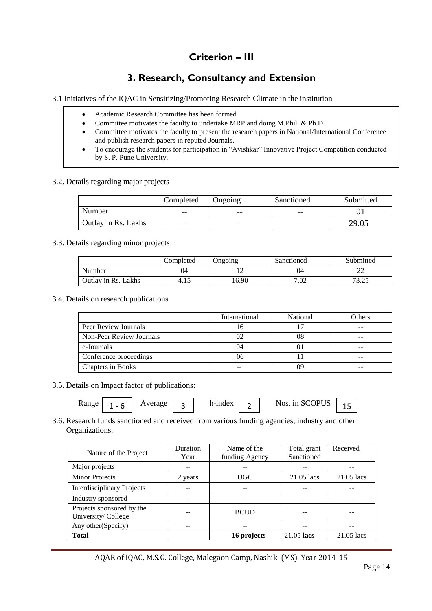# **Criterion – III**

# **3. Research, Consultancy and Extension**

3.1 Initiatives of the IQAC in Sensitizing/Promoting Research Climate in the institution

- Academic Research Committee has been formed
- Committee motivates the faculty to undertake MRP and doing M.Phil. & Ph.D.
- Committee motivates the faculty to present the research papers in National/International Conference and publish research papers in reputed Journals.
- To encourage the students for participation in "Avishkar" Innovative Project Competition conducted by S. P. Pune University.

#### 3.2. Details regarding major projects

|                     | Completed | Ongoing | Sanctioned | Submitted |
|---------------------|-----------|---------|------------|-----------|
| Number              | $- -$     | $- -$   | $- -$      |           |
| Outlay in Rs. Lakhs | $- -$     | $- -$   | $- -$      | 29.05     |

#### 3.3. Details regarding minor projects

|                     | Completed | Jngoing- | Sanctioned | Submitted       |
|---------------------|-----------|----------|------------|-----------------|
| Number              | 04        |          | 04         |                 |
| Outlay in Rs. Lakhs | 4.15      | 6.90     | 7.02       | 72 75<br>ے گے د |

3.4. Details on research publications

|                          | International | National | Others |
|--------------------------|---------------|----------|--------|
| Peer Review Journals     | l 6           |          |        |
| Non-Peer Review Journals |               | 08       |        |
| e-Journals               | 04            |          |        |
| Conference proceedings   | 06            |          |        |
| Chapters in Books        |               | 1 J Q    |        |

3.5. Details on Impact factor of publications:

| <b>Range</b> | -<br>. .<br>-- | verage |  | h-index |  | $C$ $\Omega$ DI IC<br>)PI<br>NOS.<br>-80<br>1n<br>UJ. | -- |
|--------------|----------------|--------|--|---------|--|-------------------------------------------------------|----|
|--------------|----------------|--------|--|---------|--|-------------------------------------------------------|----|

#### 3.6. Research funds sanctioned and received from various funding agencies, industry and other Organizations.

| Year    | funding Agency | Sanctioned |            |
|---------|----------------|------------|------------|
|         |                |            |            |
|         |                |            |            |
| 2 years | <b>UGC</b>     | 21.05 lacs | 21.05 lacs |
|         |                |            |            |
|         |                |            |            |
|         | <b>BCUD</b>    |            |            |
|         |                |            |            |
|         | 16 projects    | 21.05 lacs | 21.05 lacs |
|         |                |            |            |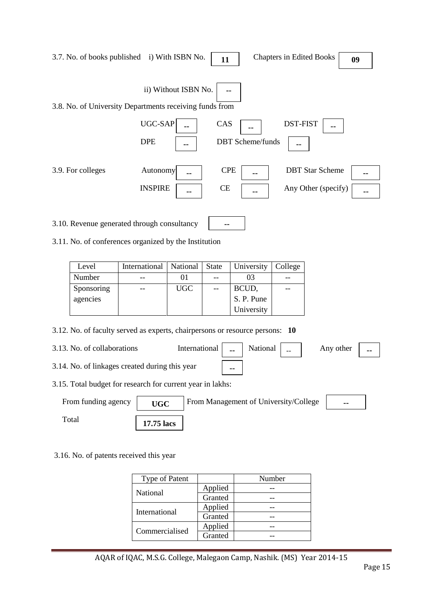|                                                 |                                                                                                      | 3.7. No. of books published i) With ISBN No.            |                      | 11               |                         | <b>Chapters in Edited Books</b> |                                               | 09 |
|-------------------------------------------------|------------------------------------------------------------------------------------------------------|---------------------------------------------------------|----------------------|------------------|-------------------------|---------------------------------|-----------------------------------------------|----|
|                                                 |                                                                                                      | 3.8. No. of University Departments receiving funds from | ii) Without ISBN No. |                  |                         |                                 |                                               |    |
|                                                 |                                                                                                      | UGC-SAP                                                 |                      | CAS              |                         | <b>DST-FIST</b>                 |                                               |    |
|                                                 |                                                                                                      | <b>DPE</b>                                              |                      |                  | <b>DBT</b> Scheme/funds | --                              |                                               |    |
| 3.9. For colleges<br>Autonomy<br><b>INSPIRE</b> |                                                                                                      |                                                         |                      | <b>CPE</b><br>CE |                         |                                 | <b>DBT</b> Star Scheme<br>Any Other (specify) |    |
|                                                 | 3.10. Revenue generated through consultancy<br>3.11. No. of conferences organized by the Institution |                                                         |                      |                  |                         |                                 |                                               |    |
|                                                 |                                                                                                      |                                                         |                      |                  |                         |                                 |                                               |    |
|                                                 | Level                                                                                                | International                                           | National             | State            | University              | College                         |                                               |    |
|                                                 | Number                                                                                               |                                                         | 01                   | $-$              | 03                      |                                 |                                               |    |
|                                                 | Sponsoring                                                                                           |                                                         | <b>UGC</b>           | $-$              | BCUD,                   | --                              |                                               |    |
|                                                 | agencies                                                                                             |                                                         |                      |                  | S. P. Pune              |                                 |                                               |    |

### 3.12. No. of faculty served as experts, chairpersons or resource persons: **10**

| 3.13. No. of collaborations                                |                                                                                  |        |  | Any other $\vert$ |  |
|------------------------------------------------------------|----------------------------------------------------------------------------------|--------|--|-------------------|--|
| 3.14. No. of linkages created during this year             |                                                                                  | $\sim$ |  |                   |  |
| 3.15. Total budget for research for current year in lakhs: |                                                                                  |        |  |                   |  |
| $E_{\text{nom}}$ funding against $\vert$                   | $\Gamma$ Example 100 $\Gamma$ Example of $\Gamma$ Inivianates $\Gamma$ allocates |        |  |                   |  |

University

| From funding agency | <b>UGC</b> | From Management of University/College | $\sim$ $-$ |
|---------------------|------------|---------------------------------------|------------|
| $_{\rm Total}$      | 17.75 lacs |                                       |            |

### 3.16. No. of patents received this year

| <b>Type of Patent</b> |         | Number |
|-----------------------|---------|--------|
| <b>National</b>       | Applied |        |
|                       | Granted |        |
| International         | Applied |        |
|                       | Granted |        |
| Commercialised        | Applied |        |
|                       | Granted |        |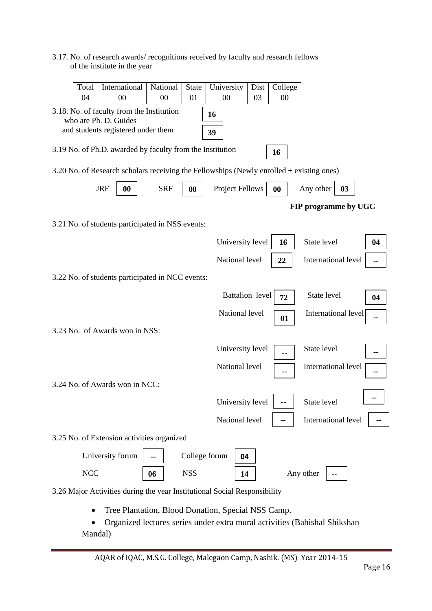### 3.17. No. of research awards/ recognitions received by faculty and research fellows of the institute in the year

| Total      | International                                                                                            | National   | <b>State</b>  | University             | Dist                   | College |                      |    |    |
|------------|----------------------------------------------------------------------------------------------------------|------------|---------------|------------------------|------------------------|---------|----------------------|----|----|
| 04         | 00                                                                                                       | 00         | 01            | 00                     | 03                     | 00      |                      |    |    |
|            | 3.18. No. of faculty from the Institution<br>who are Ph. D. Guides<br>and students registered under them |            |               | 16<br>39               |                        |         |                      |    |    |
|            | 3.19 No. of Ph.D. awarded by faculty from the Institution                                                |            |               |                        |                        | 16      |                      |    |    |
|            | 3.20 No. of Research scholars receiving the Fellowships (Newly enrolled + existing ones)                 |            |               |                        |                        |         |                      |    |    |
|            | <b>JRF</b><br>$\boldsymbol{00}$                                                                          | <b>SRF</b> | 00            | <b>Project Fellows</b> |                        | 00      | Any other            | 03 |    |
|            |                                                                                                          |            |               |                        |                        |         | FIP programme by UGC |    |    |
|            | 3.21 No. of students participated in NSS events:                                                         |            |               |                        |                        |         |                      |    |    |
|            |                                                                                                          |            |               | University level       |                        | 16      | State level          |    | 04 |
|            |                                                                                                          |            |               | National level         |                        | 22      | International level  |    | -- |
|            | 3.22 No. of students participated in NCC events:                                                         |            |               |                        |                        |         |                      |    |    |
|            |                                                                                                          |            |               |                        | <b>Battalion</b> level | 72      | State level          |    | 04 |
|            |                                                                                                          |            |               | National level         |                        | 01      | International level  |    |    |
|            | 3.23 No. of Awards won in NSS:                                                                           |            |               |                        |                        |         |                      |    |    |
|            |                                                                                                          |            |               | University level       |                        |         | State level          |    |    |
|            |                                                                                                          |            |               | National level         |                        |         | International level  |    |    |
|            | 3.24 No. of Awards won in NCC:                                                                           |            |               |                        |                        |         |                      |    |    |
|            |                                                                                                          |            |               | University level       |                        |         | State level          |    |    |
|            |                                                                                                          |            |               | National level         |                        |         | International level  |    |    |
|            | 3.25 No. of Extension activities organized                                                               |            |               |                        |                        |         |                      |    |    |
|            | University forum                                                                                         |            | College forum |                        | 04                     |         |                      |    |    |
| <b>NCC</b> |                                                                                                          | 06         | <b>NSS</b>    |                        | 14                     |         | Any other            |    |    |
|            | 3.26 Major Activities during the year Institutional Social Responsibility                                |            |               |                        |                        |         |                      |    |    |
|            | Tree Plantation, Blood Donation, Special NSS Camp.                                                       |            |               |                        |                        |         |                      |    |    |
|            | Organized lectures series under extra mural activities (Bahishal Shikshan                                |            |               |                        |                        |         |                      |    |    |

AQAR of IQAC, M.S.G. College, Malegaon Camp, Nashik. (MS) Year 2014-15

Mandal)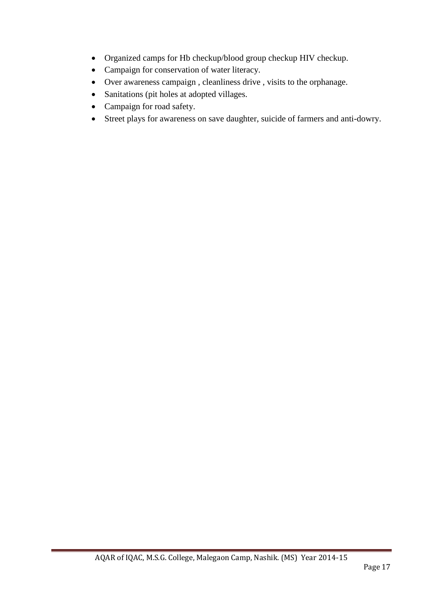- Organized camps for Hb checkup/blood group checkup HIV checkup.
- Campaign for conservation of water literacy.
- Over awareness campaign , cleanliness drive , visits to the orphanage.
- Sanitations (pit holes at adopted villages.
- Campaign for road safety.
- Street plays for awareness on save daughter, suicide of farmers and anti-dowry.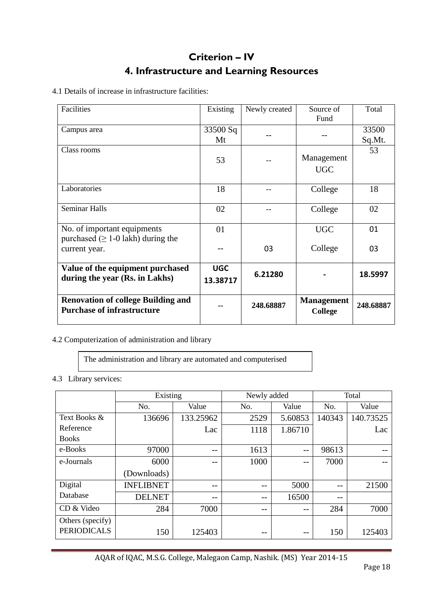# **Criterion – IV 4. Infrastructure and Learning Resources**

4.1 Details of increase in infrastructure facilities:

| Facilities                                                                     | Existing               | Newly created | Source of<br>Fund            | Total           |
|--------------------------------------------------------------------------------|------------------------|---------------|------------------------------|-----------------|
| Campus area                                                                    | 33500 Sq<br>Mt         |               |                              | 33500<br>Sq.Mt. |
| Class rooms                                                                    | 53                     |               | Management<br><b>UGC</b>     | 53              |
| Laboratories                                                                   | 18                     |               | College                      | 18              |
| <b>Seminar Halls</b>                                                           | 02                     |               | College                      | 02              |
| No. of important equipments<br>purchased ( $\geq$ 1-0 lakh) during the         | 01                     |               | <b>UGC</b>                   | 01              |
| current year.                                                                  |                        | 03            | College                      | 03              |
| Value of the equipment purchased<br>during the year (Rs. in Lakhs)             | <b>UGC</b><br>13.38717 | 6.21280       |                              | 18.5997         |
| <b>Renovation of college Building and</b><br><b>Purchase of infrastructure</b> |                        | 248.68887     | <b>Management</b><br>College | 248.68887       |

### 4.2 Computerization of administration and library

The administration and library are automated and computerised

#### 4.3 Library services:

|                    | Existing         |           | Newly added |         | Total  |           |  |
|--------------------|------------------|-----------|-------------|---------|--------|-----------|--|
|                    | No.              | Value     | No.         | Value   | No.    | Value     |  |
| Text Books &       | 136696           | 133.25962 | 2529        | 5.60853 | 140343 | 140.73525 |  |
| Reference          |                  | Lac       | 1118        | 1.86710 |        | Lac       |  |
| <b>Books</b>       |                  |           |             |         |        |           |  |
| e-Books            | 97000            | --        | 1613        | $- -$   | 98613  |           |  |
| e-Journals         | 6000             | --        | 1000        |         | 7000   |           |  |
|                    | (Downloads)      |           |             |         |        |           |  |
| Digital            | <b>INFLIBNET</b> | --        | --          | 5000    | --     | 21500     |  |
| Database           | <b>DELNET</b>    | --        | --          | 16500   | --     |           |  |
| CD & Video         | 284              | 7000      | --          |         | 284    | 7000      |  |
| Others (specify)   |                  |           |             |         |        |           |  |
| <b>PERIODICALS</b> | 150              | 125403    | --          | $- -$   | 150    | 125403    |  |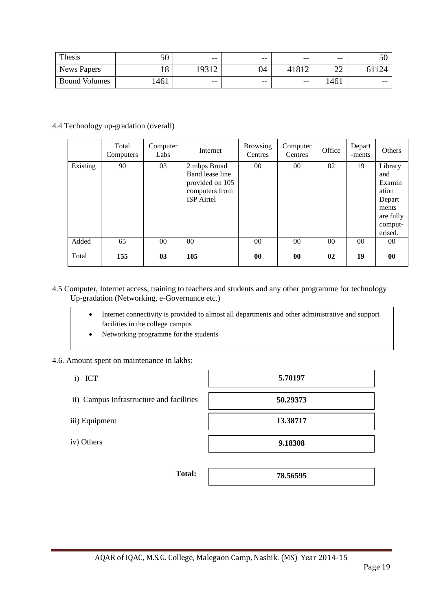| Thesis               | 50       | $- -$ | $- -$ | $- -$ | $- -$        | IJΩ   |
|----------------------|----------|-------|-------|-------|--------------|-------|
| <b>News Papers</b>   | 10<br>10 | 0312  | 04    |       | $\sim$<br>∠∠ |       |
| <b>Bound Volumes</b> | 1461     | $- -$ | $- -$ | $- -$ | 461          | $- -$ |

#### 4.4 Technology up-gradation (overall)

|          | Total<br>Computers | Computer<br>Labs | Internet                                                                                  | <b>Browsing</b><br>Centres | Computer<br>Centres | Office          | Depart<br>-ments | Others                                                                                  |
|----------|--------------------|------------------|-------------------------------------------------------------------------------------------|----------------------------|---------------------|-----------------|------------------|-----------------------------------------------------------------------------------------|
| Existing | 90                 | 03               | 2 mbps Broad<br>Band lease line<br>provided on 105<br>computers from<br><b>ISP</b> Airtel | $00\,$                     | 00                  | 02              | 19               | Library<br>and<br>Examin<br>ation<br>Depart<br>ments<br>are fully<br>comput-<br>erised. |
| Added    | 65                 | 00 <sup>1</sup>  | 00                                                                                        | $00\,$                     | 00 <sup>1</sup>     | 00 <sup>1</sup> | 00 <sup>1</sup>  | 00                                                                                      |
| Total    | 155                | 03               | 105                                                                                       | $\bf{00}$                  | $\bf{00}$           | 02              | 19               | 00                                                                                      |

#### 4.5 Computer, Internet access, training to teachers and students and any other programme for technology Up-gradation (Networking, e-Governance etc.)

| Internet connectivity is provided to almost all departments and other administrative and support |
|--------------------------------------------------------------------------------------------------|
| facilities in the college campus                                                                 |

• Networking programme for the students

#### 4.6. Amount spent on maintenance in lakhs:

- i) ICT
- ii) Campus Infrastructure and facilities
- iii) Equipment
- iv) Others

| 5.70197  |  |
|----------|--|
| 50.29373 |  |
| 13.38717 |  |
| 9.18308  |  |

**Total:** 

**78.56595**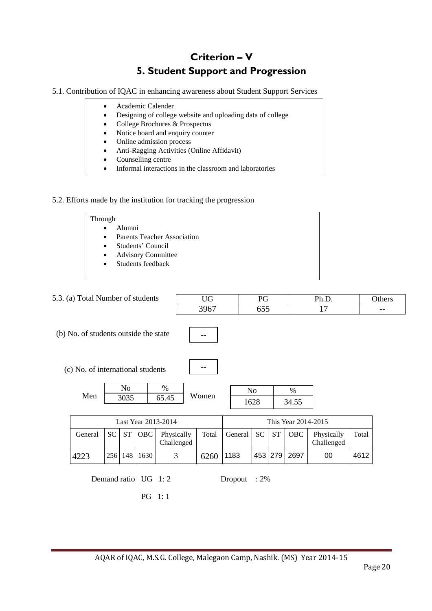# **Criterion – V 5. Student Support and Progression**

5.1. Contribution of IQAC in enhancing awareness about Student Support Services

| $\bullet$ | Academic Calender                                          |
|-----------|------------------------------------------------------------|
|           | Designing of college website and uploading data of college |
|           | College Brochures & Prospectus                             |
| $\bullet$ | Notice board and enquiry counter                           |
|           | Online admission process                                   |
|           | Anti-Ragging Activities (Online Affidavit)                 |

- Counselling centre
- Informal interactions in the classroom and laboratories

#### 5.2. Efforts made by the institution for tracking the progression

| Through                                         |  |
|-------------------------------------------------|--|
| Alumni<br>$\bullet$                             |  |
| <b>Parents Teacher Association</b><br>$\bullet$ |  |
| Students' Council<br>$\bullet$                  |  |
| <b>Advisory Committee</b><br>$\bullet$          |  |
| Students feedback<br>$\bullet$                  |  |
|                                                 |  |

| 5.3. (a) Total Number of students     |           |                        |                     |                          |                     | <b>UG</b> |         | PG                     |           |                        | Ph.D.                    |       | Others |
|---------------------------------------|-----------|------------------------|---------------------|--------------------------|---------------------|-----------|---------|------------------------|-----------|------------------------|--------------------------|-------|--------|
|                                       |           |                        |                     |                          | 3967                |           | 655     |                        |           | 17                     |                          | --    |        |
| (b) No. of students outside the state |           |                        |                     |                          | --                  |           |         |                        |           |                        |                          |       |        |
| (c) No. of international students     |           |                        |                     |                          |                     | --        |         |                        |           |                        |                          |       |        |
| Men                                   |           | N <sub>0</sub><br>3035 |                     | $\%$<br>65.45            |                     | Women     |         | N <sub>o</sub><br>1628 |           | $\frac{0}{0}$<br>34.55 |                          |       |        |
|                                       |           |                        |                     | Last Year 2013-2014      | This Year 2014-2015 |           |         |                        |           |                        |                          |       |        |
| General                               | <b>SC</b> | <b>ST</b>              | OBC                 | Physically<br>Challenged |                     | Total     | General | <b>SC</b>              | <b>ST</b> | <b>OBC</b>             | Physically<br>Challenged | Total |        |
| 4223                                  | 256       | 148                    | 1630                | 3                        |                     | 6260      | 1183    |                        | 453 279   | 2697                   | 00                       | 4612  |        |
|                                       |           |                        | Demand ratio UG 1:2 |                          |                     |           | Dropout | $:2\%$                 |           |                        |                          |       |        |

PG 1: 1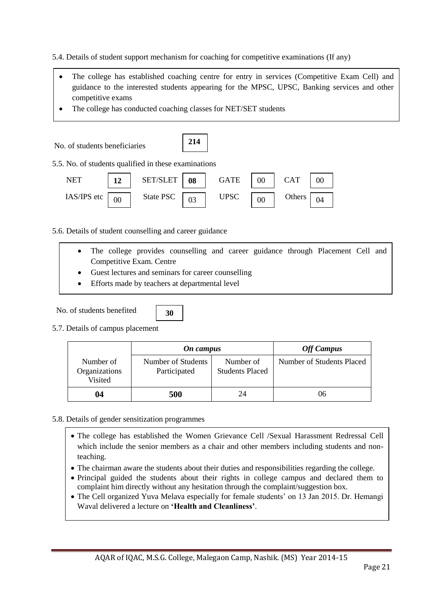5.4. Details of student support mechanism for coaching for competitive examinations (If any)

- The college has established coaching centre for entry in services (Competitive Exam Cell) and guidance to the interested students appearing for the MPSC, UPSC, Banking services and other competitive exams
- The college has conducted coaching classes for NET/SET students



5.6. Details of student counselling and career guidance

- The college provides counselling and career guidance through Placement Cell and Competitive Exam. Centre
	- Guest lectures and seminars for career counselling

**30**

Efforts made by teachers at departmental level

No. of students benefited

5.7. Details of campus placement

|                                       | On campus                          | <b>Off Campus</b>                   |                           |
|---------------------------------------|------------------------------------|-------------------------------------|---------------------------|
| Number of<br>Organizations<br>Visited | Number of Students<br>Participated | Number of<br><b>Students Placed</b> | Number of Students Placed |
| 04                                    | 500                                | 24                                  | 06                        |

#### 5.8. Details of gender sensitization programmes

- The college has established the Women Grievance Cell /Sexual Harassment Redressal Cell which include the senior members as a chair and other members including students and nonteaching.
- The chairman aware the students about their duties and responsibilities regarding the college.
- Principal guided the students about their rights in college campus and declared them to complaint him directly without any hesitation through the complaint/suggestion box.
- The Cell organized Yuva Melava especially for female students' on 13 Jan 2015. Dr. Hemangi Waval delivered a lecture on **'Health and Cleanliness'**.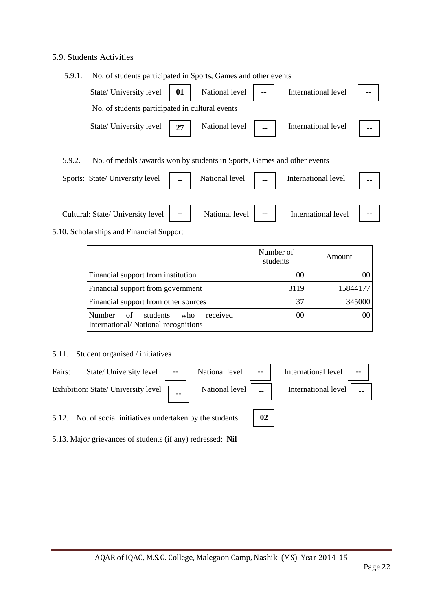#### 5.9. Students Activities

| 5.9.1. | No. of students participated in Sports, Games and other events          |                |                |                     |  |
|--------|-------------------------------------------------------------------------|----------------|----------------|---------------------|--|
|        | State/ University level $\begin{bmatrix} 01 \end{bmatrix}$              | National level | $\overline{a}$ | International level |  |
|        | No. of students participated in cultural events                         |                |                |                     |  |
|        | State/ University level   27                                            | National level |                | International level |  |
| 5.9.2. | No. of medals /awards won by students in Sports, Games and other events |                |                |                     |  |
|        | Sports: State/ University level                                         | National level |                | International level |  |

| Cultural: State/ University level | $\sim$ | National level | -- | International level | $\sim$ |
|-----------------------------------|--------|----------------|----|---------------------|--------|

#### 5.10. Scholarships and Financial Support

|                                                                                    | Number of<br>students | Amount   |
|------------------------------------------------------------------------------------|-----------------------|----------|
| Financial support from institution                                                 | 00                    |          |
| Financial support from government                                                  | 3119                  | 15844177 |
| Financial support from other sources                                               | 37                    | 345000   |
| received<br>Number<br>students<br>who<br>of<br>International/National recognitions | 00                    | 00       |

#### 5.11. Student organised / initiatives



5.12. No. of social initiatives undertaken by the students

5.13. Major grievances of students (if any) redressed: **Nil**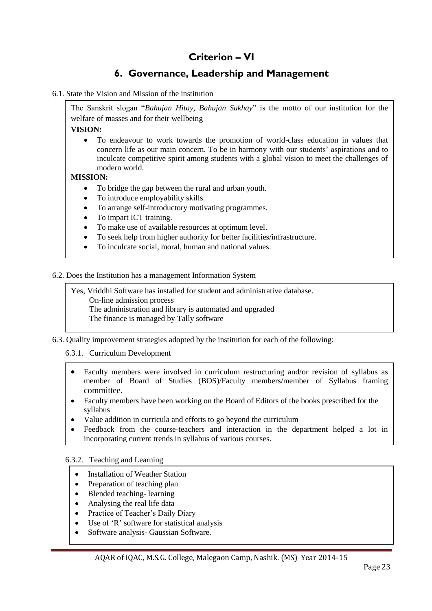# **Criterion – VI**

# **6. Governance, Leadership and Management**

6.1. State the Vision and Mission of the institution

The Sanskrit slogan "*Bahujan Hitay, Bahujan Sukhay*" is the motto of our institution for the welfare of masses and for their wellbeing

**VISION:**

 To endeavour to work towards the promotion of world-class education in values that concern life as our main concern. To be in harmony with our students" aspirations and to inculcate competitive spirit among students with a global vision to meet the challenges of modern world.

#### **MISSION:**

- To bridge the gap between the rural and urban youth.
- To introduce employability skills.
- To arrange self-introductory motivating programmes.
- To impart ICT training.
- To make use of available resources at optimum level.
- To seek help from higher authority for better facilities/infrastructure.
- To inculcate social, moral, human and national values.

6.2. Does the Institution has a management Information System

Yes, Vriddhi Software has installed for student and administrative database. On-line admission process The administration and library is automated and upgraded The finance is managed by Tally software

6.3. Quality improvement strategies adopted by the institution for each of the following:

#### 6.3.1. Curriculum Development

- Faculty members were involved in curriculum restructuring and/or revision of syllabus as member of Board of Studies (BOS)/Faculty members/member of Syllabus framing committee.
- Faculty members have been working on the Board of Editors of the books prescribed for the syllabus
- Value addition in curricula and efforts to go beyond the curriculum
- Feedback from the course-teachers and interaction in the department helped a lot in incorporating current trends in syllabus of various courses.

6.3.2. Teaching and Learning

- Installation of Weather Station
- Preparation of teaching plan
- Blended teaching-learning
- Analysing the real life data
- Practice of Teacher's Daily Diary
- Use of "R" software for statistical analysis
- Software analysis- Gaussian Software.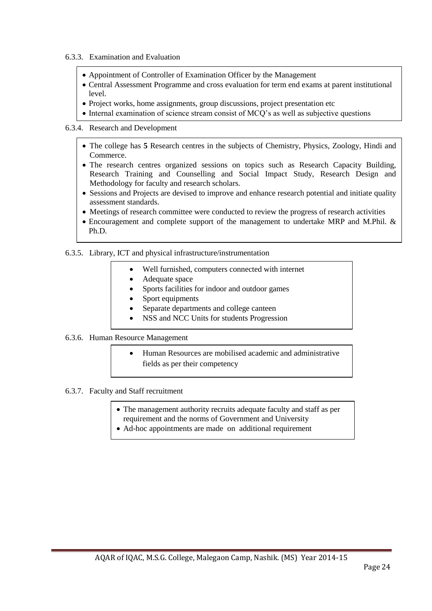- 6.3.3. Examination and Evaluation
	- Appointment of Controller of Examination Officer by the Management
	- Central Assessment Programme and cross evaluation for term end exams at parent institutional level.
	- Project works, home assignments, group discussions, project presentation etc
	- Internal examination of science stream consist of MCQ's as well as subjective questions

#### 6.3.4. Research and Development

- The college has **5** Research centres in the subjects of Chemistry, Physics, Zoology, Hindi and Commerce.
- The research centres organized sessions on topics such as Research Capacity Building, Research Training and Counselling and Social Impact Study, Research Design and Methodology for faculty and research scholars.
- Sessions and Projects are devised to improve and enhance research potential and initiate quality assessment standards.
- Meetings of research committee were conducted to review the progress of research activities
- Encouragement and complete support of the management to undertake MRP and M.Phil. & Ph.D.

#### 6.3.5. Library, ICT and physical infrastructure/instrumentation

- Well furnished, computers connected with internet
- Adequate space
- Sports facilities for indoor and outdoor games
- Sport equipments
- Separate departments and college canteen
- NSS and NCC Units for students Progression

#### 6.3.6. Human Resource Management

 Human Resources are mobilised academic and administrative fields as per their competency

#### 6.3.7. Faculty and Staff recruitment

- The management authority recruits adequate faculty and staff as per requirement and the norms of Government and University
- Ad-hoc appointments are made on additional requirement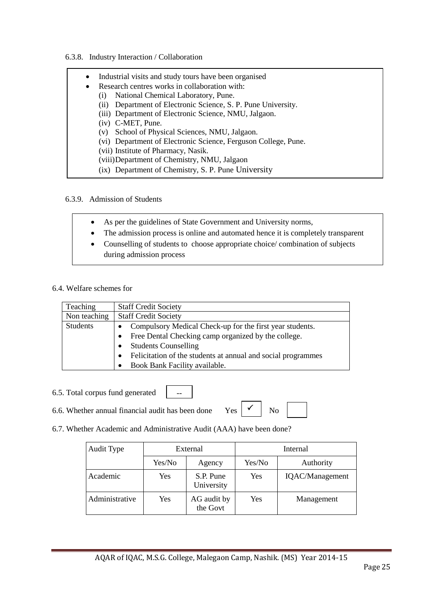#### 6.3.8. Industry Interaction / Collaboration

| $\bullet$ | Industrial visits and study tours have been organised          |
|-----------|----------------------------------------------------------------|
| $\bullet$ | Research centres works in collaboration with:                  |
| (1)       | National Chemical Laboratory, Pune.                            |
| (ii)      | Department of Electronic Science, S. P. Pune University.       |
|           | (iii) Department of Electronic Science, NMU, Jalgaon.          |
|           | $(iv)$ C-MET, Pune.                                            |
| (v)       | School of Physical Sciences, NMU, Jalgaon.                     |
|           | (vi) Department of Electronic Science, Ferguson College, Pune. |
|           | (vii) Institute of Pharmacy, Nasik.                            |
|           | (viii) Department of Chemistry, NMU, Jalgaon                   |
|           | (ix) Department of Chemistry, S. P. Pune University            |

#### 6.3.9. Admission of Students

- As per the guidelines of State Government and University norms,
- The admission process is online and automated hence it is completely transparent
- Counselling of students to choose appropriate choice/ combination of subjects during admission process

#### 6.4. Welfare schemes for

| Teaching        | <b>Staff Credit Society</b>                                           |
|-----------------|-----------------------------------------------------------------------|
| Non teaching    | <b>Staff Credit Society</b>                                           |
| <b>Students</b> | Compulsory Medical Check-up for the first year students.<br>$\bullet$ |
|                 | Free Dental Checking camp organized by the college.                   |
|                 | <b>Students Counselling</b>                                           |
|                 | Felicitation of the students at annual and social programmes          |
|                 | Book Bank Facility available.                                         |

6.5. Total corpus fund generated

6.6. Whether annual financial audit has been done Yes  $\begin{array}{c|c} \nwarrow \\ \hline \end{array}$  No

--

 $\checkmark$ 

6.7. Whether Academic and Administrative Audit (AAA) have been done?

| Audit Type     |        | External                | Internal |                        |  |
|----------------|--------|-------------------------|----------|------------------------|--|
|                | Yes/No | Agency                  | Yes/No   | Authority              |  |
| Academic       | Yes    | S.P. Pune<br>University | Yes      | <b>IQAC/Management</b> |  |
| Administrative | Yes    | AG audit by<br>the Govt | Yes      | Management             |  |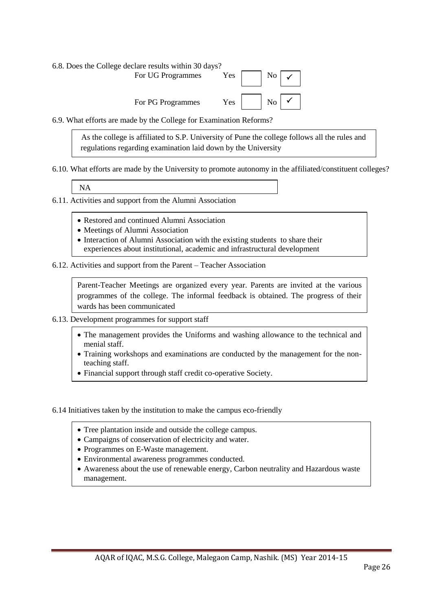| 6.8. Does the College declare results within 30 days? |                                                                        |                                                     |  |  |
|-------------------------------------------------------|------------------------------------------------------------------------|-----------------------------------------------------|--|--|
| For UG Programmes                                     | Yes $\begin{array}{ c c c c c c } \hline \end{array}$ No $\mathcal{V}$ |                                                     |  |  |
| For PG Programmes                                     |                                                                        | Yes $\vert$ $\vert$ No $\vert$ $\checkmark$ $\vert$ |  |  |

6.9. What efforts are made by the College for Examination Reforms?

 As the college is affiliated to S.P. University of Pune the college follows all the rules and regulations regarding examination laid down by the University

6.10. What efforts are made by the University to promote autonomy in the affiliated/constituent colleges?

NA

6.11. Activities and support from the Alumni Association

- Restored and continued Alumni Association
- Meetings of Alumni Association
- Interaction of Alumni Association with the existing students to share their experiences about institutional, academic and infrastructural development
- 6.12. Activities and support from the Parent Teacher Association

Parent-Teacher Meetings are organized every year. Parents are invited at the various programmes of the college. The informal feedback is obtained. The progress of their wards has been communicated

- 6.13. Development programmes for support staff
	- The management provides the Uniforms and washing allowance to the technical and menial staff.
	- Training workshops and examinations are conducted by the management for the nonteaching staff.
	- Financial support through staff credit co-operative Society.

6.14 Initiatives taken by the institution to make the campus eco-friendly

- Tree plantation inside and outside the college campus.
- $\bullet$  Campaigns of conservation of electricity and water.
- Programmes on E-Waste management.
- Programmes on E-waste management.<br>• Environmental awareness programmes conducted.
- Awareness about the use of renewable energy, Carbon neutrality and Hazardous waste management.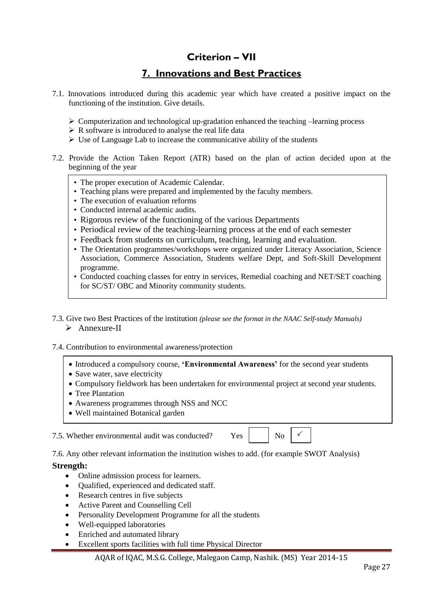### **Criterion – VII**

### **7. Innovations and Best Practices**

- 7.1. Innovations introduced during this academic year which have created a positive impact on the functioning of the institution. Give details.
	- $\triangleright$  Computerization and technological up-gradation enhanced the teaching –learning process
	- $\triangleright$  R software is introduced to analyse the real life data
	- $\triangleright$  Use of Language Lab to increase the communicative ability of the students
- 7.2. Provide the Action Taken Report (ATR) based on the plan of action decided upon at the beginning of the year
	- The proper execution of Academic Calendar.
	- Teaching plans were prepared and implemented by the faculty members.
	- The execution of evaluation reforms
	- Conducted internal academic audits.
	- Rigorous review of the functioning of the various Departments
	- Periodical review of the teaching-learning process at the end of each semester
	- Feedback from students on curriculum, teaching, learning and evaluation.
	- The Orientation programmes/workshops were organized under Literacy Association, Science Association, Commerce Association, Students welfare Dept, and Soft-Skill Development programme.
	- Conducted coaching classes for entry in services, Remedial coaching and NET/SET coaching for SC/ST/ OBC and Minority community students.
- 7.3. Give two Best Practices of the institution *(please see the format in the NAAC Self-study Manuals)* > Annexure-II

#### 7.4. Contribution to environmental awareness/protection

- Introduced a compulsory course, **'Environmental Awareness'** for the second year students
- Save water, save electricity
- Compulsory fieldwork has been undertaken for environmental project at second year students.
- Tree Plantation
- Awareness programmes through NSS and NCC
- Well maintained Botanical garden

7.5. Whether environmental audit was conducted?  $Y_{\text{es}}$  No

 $\checkmark$ 

7.6. Any other relevant information the institution wishes to add. (for example SWOT Analysis)

#### **Strength:**

- Online admission process for learners.
- Oualified, experienced and dedicated staff.
- Research centres in five subjects
- Active Parent and Counselling Cell
- Personality Development Programme for all the students
- Well-equipped laboratories
- Enriched and automated library
- Excellent sports facilities with full time Physical Director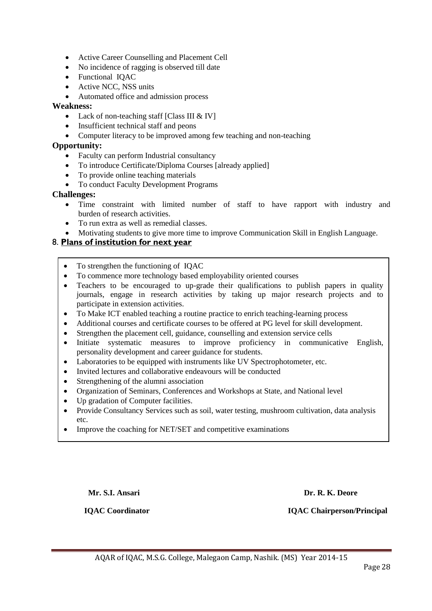- Active Career Counselling and Placement Cell
- No incidence of ragging is observed till date
- Functional IQAC
- Active NCC, NSS units
- Automated office and admission process

### **Weakness:**

- Lack of non-teaching staff [Class III & IV]
- Insufficient technical staff and peons
- Computer literacy to be improved among few teaching and non-teaching

### **Opportunity:**

- Faculty can perform Industrial consultancy
- To introduce Certificate/Diploma Courses [already applied]
- To provide online teaching materials
- To conduct Faculty Development Programs

### **Challenges:**

- Time constraint with limited number of staff to have rapport with industry and burden of research activities.
- To run extra as well as remedial classes.
- Motivating students to give more time to improve Communication Skill in English Language.

### 8. **Plans of institution for next year**

- To strengthen the functioning of IQAC
- To commence more technology based employability oriented courses
- Teachers to be encouraged to up-grade their qualifications to publish papers in quality journals, engage in research activities by taking up major research projects and to participate in extension activities.
- To Make ICT enabled teaching a routine practice to enrich teaching-learning process
- Additional courses and certificate courses to be offered at PG level for skill development.
- Strengthen the placement cell, guidance, counselling and extension service cells
- Initiate systematic measures to improve proficiency in communicative English, personality development and career guidance for students.
- Laboratories to be equipped with instruments like UV Spectrophotometer, etc.
- Invited lectures and collaborative endeavours will be conducted
- Strengthening of the alumni association
- Organization of Seminars, Conferences and Workshops at State, and National level
- Up gradation of Computer facilities.
- Provide Consultancy Services such as soil, water testing, mushroom cultivation, data analysis etc.
- Improve the coaching for NET/SET and competitive examinations

#### **Mr. S.I. Ansari Dr. R. K. Deore**

 **IQAC Coordinator IQAC Chairperson/Principal**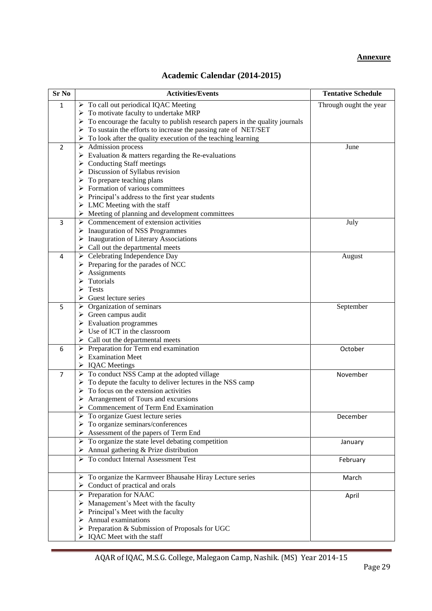#### **Annexure**

### **Academic Calendar (2014-2015)**

| <b>Sr No</b>   | <b>Activities/Events</b>                                                                     | <b>Tentative Schedule</b> |
|----------------|----------------------------------------------------------------------------------------------|---------------------------|
| $\mathbf{1}$   | $\triangleright$ To call out periodical IQAC Meeting                                         | Through ought the year    |
|                | $\triangleright$ To motivate faculty to undertake MRP                                        |                           |
|                | $\triangleright$ To encourage the faculty to publish research papers in the quality journals |                           |
|                | $\triangleright$ To sustain the efforts to increase the passing rate of NET/SET              |                           |
|                | To look after the quality execution of the teaching learning<br>➤                            |                           |
| $\overline{2}$ | $\triangleright$ Admission process                                                           | June                      |
|                | $\triangleright$ Evaluation & matters regarding the Re-evaluations                           |                           |
|                | $\triangleright$ Conducting Staff meetings                                                   |                           |
|                | $\triangleright$ Discussion of Syllabus revision                                             |                           |
|                | $\triangleright$ To prepare teaching plans                                                   |                           |
|                | $\triangleright$ Formation of various committees                                             |                           |
|                | $\triangleright$ Principal's address to the first year students                              |                           |
|                | $\triangleright$ LMC Meeting with the staff                                                  |                           |
|                | $\triangleright$ Meeting of planning and development committees                              |                           |
| 3              | $\triangleright$ Commencement of extension activities                                        | July                      |
|                | $\triangleright$ Inauguration of NSS Programmes                                              |                           |
|                | $\triangleright$ Inauguration of Literary Associations                                       |                           |
|                | $\triangleright$ Call out the departmental meets                                             |                           |
| 4              | $\triangleright$ Celebrating Independence Day                                                | August                    |
|                | $\triangleright$ Preparing for the parades of NCC                                            |                           |
|                | Assignments                                                                                  |                           |
|                | Tutorials                                                                                    |                           |
|                | <b>Tests</b>                                                                                 |                           |
|                | Guest lecture series                                                                         |                           |
| 5              | $\triangleright$ Organization of seminars                                                    | September                 |
|                | $\triangleright$ Green campus audit                                                          |                           |
|                | $\triangleright$ Evaluation programmes                                                       |                           |
|                | $\triangleright$ Use of ICT in the classroom                                                 |                           |
|                | $\triangleright$ Call out the departmental meets                                             |                           |
| 6              | $\triangleright$ Preparation for Term end examination                                        | October                   |
|                | $\triangleright$ Examination Meet                                                            |                           |
|                | > IQAC Meetings                                                                              |                           |
| $\overline{7}$ | $\triangleright$ To conduct NSS Camp at the adopted village                                  | November                  |
|                | To depute the faculty to deliver lectures in the NSS camp<br>➤                               |                           |
|                | To focus on the extension activities                                                         |                           |
|                | Arrangement of Tours and excursions                                                          |                           |
|                | Commencement of Term End Examination                                                         |                           |
|                | To organize Guest lecture series                                                             | December                  |
|                | $\triangleright$ To organize seminars/conferences                                            |                           |
|                | $\triangleright$ Assessment of the papers of Term End                                        |                           |
|                | $\triangleright$ To organize the state level debating competition                            | January                   |
|                | $\triangleright$ Annual gathering & Prize distribution                                       |                           |
|                | To conduct Internal Assessment Test                                                          | February                  |
|                |                                                                                              |                           |
|                | > To organize the Karmveer Bhausahe Hiray Lecture series                                     | March                     |
|                | $\triangleright$ Conduct of practical and orals                                              |                           |
|                | > Preparation for NAAC                                                                       | April                     |
|                | > Management's Meet with the faculty                                                         |                           |
|                | $\triangleright$ Principal's Meet with the faculty                                           |                           |
|                | $\triangleright$ Annual examinations                                                         |                           |
|                | $\triangleright$ Preparation & Submission of Proposals for UGC                               |                           |
|                | $\triangleright$ IQAC Meet with the staff                                                    |                           |
|                |                                                                                              |                           |

AQAR of IQAC, M.S.G. College, Malegaon Camp, Nashik. (MS) Year 2014-15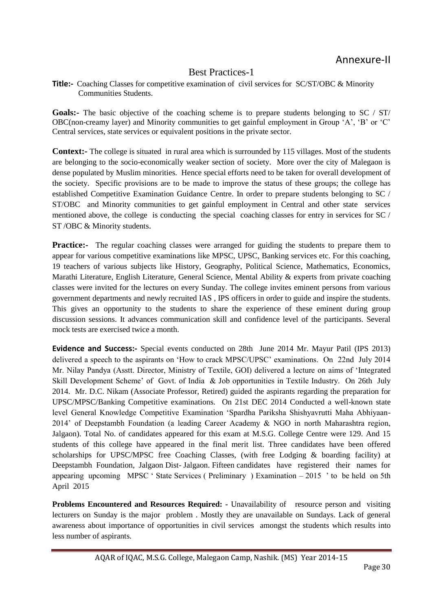### Best Practices-1

**Title:-** Coaching Classes for competitive examination of civil services for SC/ST/OBC & Minority Communities Students.

**Goals:-** The basic objective of the coaching scheme is to prepare students belonging to SC / ST/ OBC(non-creamy layer) and Minority communities to get gainful employment in Group "A", "B" or "C" Central services, state services or equivalent positions in the private sector.

**Context:**- The college is situated in rural area which is surrounded by 115 villages. Most of the students are belonging to the socio-economically weaker section of society. More over the city of Malegaon is dense populated by Muslim minorities. Hence special efforts need to be taken for overall development of the society. Specific provisions are to be made to improve the status of these groups; the college has established Competitive Examination Guidance Centre. In order to prepare students belonging to SC / ST/OBC and Minority communities to get gainful employment in Central and other state services mentioned above, the college is conducting the special coaching classes for entry in services for SC / ST /OBC & Minority students.

**Practice:-** The regular coaching classes were arranged for guiding the students to prepare them to appear for various competitive examinations like MPSC, UPSC, Banking services etc. For this coaching, 19 teachers of various subjects like History, Geography, Political Science, Mathematics, Economics, Marathi Literature, English Literature, General Science, Mental Ability & experts from private coaching classes were invited for the lectures on every Sunday. The college invites eminent persons from various government departments and newly recruited IAS , IPS officers in order to guide and inspire the students. This gives an opportunity to the students to share the experience of these eminent during group discussion sessions. It advances communication skill and confidence level of the participants. Several mock tests are exercised twice a month.

**Evidence and Success:-** Special events conducted on 28th June 2014 Mr. Mayur Patil (IPS 2013) delivered a speech to the aspirants on "How to crack MPSC/UPSC" examinations. On 22nd July 2014 Mr. Nilay Pandya (Asstt. Director, Ministry of Textile, GOI) delivered a lecture on aims of "Integrated Skill Development Scheme" of Govt. of India & Job opportunities in Textile Industry. On 26th July 2014. Mr. D.C. Nikam (Associate Professor, Retired) guided the aspirants regarding the preparation for UPSC/MPSC/Banking Competitive examinations. On 21st DEC 2014 Conducted a well-known state level General Knowledge Competitive Examination "Spardha Pariksha Shishyavrutti Maha Abhiyaan-2014" of Deepstambh Foundation (a leading Career Academy & NGO in north Maharashtra region, Jalgaon). Total No. of candidates appeared for this exam at M.S.G. College Centre were 129. And 15 students of this college have appeared in the final merit list. Three candidates have been offered scholarships for UPSC/MPSC free Coaching Classes, (with free Lodging & boarding facility) at Deepstambh Foundation, Jalgaon Dist- Jalgaon. Fifteen candidates have registered their names for appearing upcoming MPSC " State Services ( Preliminary ) Examination – 2015 " to be held on 5th April 2015

**Problems Encountered and Resources Required: -** Unavailability of resource person and visiting lecturers on Sunday is the major problem . Mostly they are unavailable on Sundays. Lack of general awareness about importance of opportunities in civil services amongst the students which results into less number of aspirants.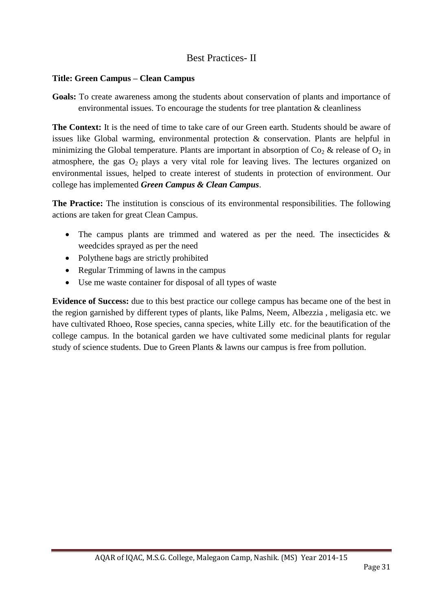### Best Practices- II

### **Title: Green Campus – Clean Campus**

**Goals:** To create awareness among the students about conservation of plants and importance of environmental issues. To encourage the students for tree plantation & cleanliness

**The Context:** It is the need of time to take care of our Green earth. Students should be aware of issues like Global warming, environmental protection & conservation. Plants are helpful in minimizing the Global temperature. Plants are important in absorption of  $Co_2 \&$  release of  $O_2$  in atmosphere, the gas  $O_2$  plays a very vital role for leaving lives. The lectures organized on environmental issues, helped to create interest of students in protection of environment. Our college has implemented *Green Campus & Clean Campus*.

**The Practice:** The institution is conscious of its environmental responsibilities. The following actions are taken for great Clean Campus.

- The campus plants are trimmed and watered as per the need. The insecticides  $\&$ weedcides sprayed as per the need
- Polythene bags are strictly prohibited
- Regular Trimming of lawns in the campus
- Use me waste container for disposal of all types of waste

**Evidence of Success:** due to this best practice our college campus has became one of the best in the region garnished by different types of plants, like Palms, Neem, Albezzia , meligasia etc. we have cultivated Rhoeo, Rose species, canna species, white Lilly etc. for the beautification of the college campus. In the botanical garden we have cultivated some medicinal plants for regular study of science students. Due to Green Plants & lawns our campus is free from pollution.